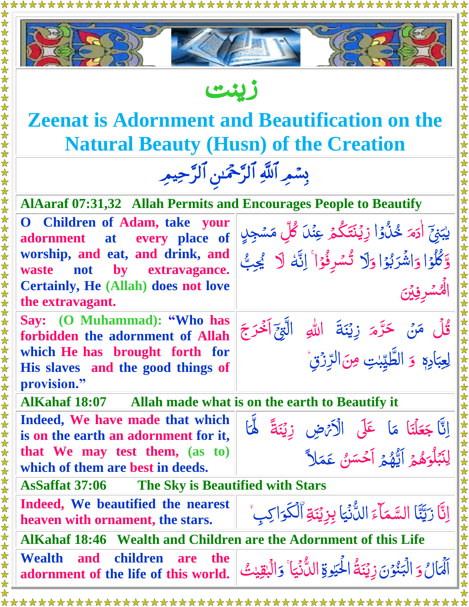



زين ت

## **Zeenat is Adornment and Beautification on the Natural Beauty (Husn) of the Creation**

بِسْمِرِ ٱللَّٰهِ ٱلرَّحْمَٰنِ ٱلرَّحِيمِ

ن<br>ما ا<br>م

∧ُ<br>پر

ى

ى  $\sum$ 

**ُ**<br>په  $\frac{1}{2}$ 

| <b>AlAaraf 07:31,32 Allah Permits and Encourages People to Beautify</b> |  |  |                                                                                                                          |  |
|-------------------------------------------------------------------------|--|--|--------------------------------------------------------------------------------------------------------------------------|--|
|                                                                         |  |  | O Children of Adam, take your  <br>نِيَّ اٰدَمَ خُلُوۡا زِيۡنَتَكُمۡ عِنۡلَ كُلِّ مَسۡجِلٍ   adornment at every place of |  |
|                                                                         |  |  |                                                                                                                          |  |

**Children of adornment at every place of worship, and eat, and drink, and waste not by extravagance. Certainly, He (Allah) does not love the extravagant.**

**Say: (O Muhammad): "Who has forbidden the adornment of Allah which He has brought forth for His slaves and the good things of provision."** 

**AlKahaf 18:07 Allah made what is on the earth to Beautify it**

**Indeed, We have made that which is on the earth an adornment for it, that We may test them, (as to) which of them are best in deeds.** 



ى بَ<br>ہ ب ي ٰ

وَكَّلُوۡا ق<br>,

ر<br>ا

ا

ر<br>د  $\int$ 

ى

ر<br>ا

و ا و

ى

ر<br>د <u>رَ</u> ب َ شر ا ى

ر<br>ا

ى

 $\ddot{\cdot}$ 

رّ

وَ الطَّيِّبْتِ آراوا<br>د **ابہ** ا

ر<br>م

وَلَا تُسْرِفُوْا ۚ إِنَّهَ لَا يُجِبُّ ر<br>د ن<br>في ى ش<br>گ

حَرَّمَ زِيۡنَةَ اللّٰہِ الَّٰہِجَ اَخۡرَجَ

مِنَ الرِّزْقِ ى ڒ

 $\overline{\phantom{a}}$  $\ddot{\phantom{0}}$  َ

<u>ُ</u><br>ا

لَّكْسُرِفِيْنَ<br>لَ<sup>مُ</sup>سُرِفِيْنَ

ڠڷ**۞**مَن ى

֦֘ ادِه بہ<br>ب ب عِ ِ ل

<u>ُ</u><br>ا

**AsSaffat 37:06 The Sky is Beautified with Stars** 

**Indeed, We beautified the nearest** 

**AlKahaf 18:46 Wealth and Children are the Adornment of this Life**

**Wealth and children are the adornment of the life of this world.** 

<u>ُ</u> ال <u>َ</u> اَىل <u>َ)</u><br>= و ابر<br>ا ر<br>ننون ن<br>أ  $\tilde{\mathbf{A}}$ بر<br>ا الْبَنُوْنَ زِيْنَةُ الْحَيْوةِ ى ٰ لحَيْوةِ الدُّنْيَا ا ֦֝֝֝<br>֧֚֝<br>֧֝ اللُّأَنِّيَاً ى<br>م ن<br>ما  $\tilde{\zeta}$ دَالۡبُقِيٰتُ ٰ